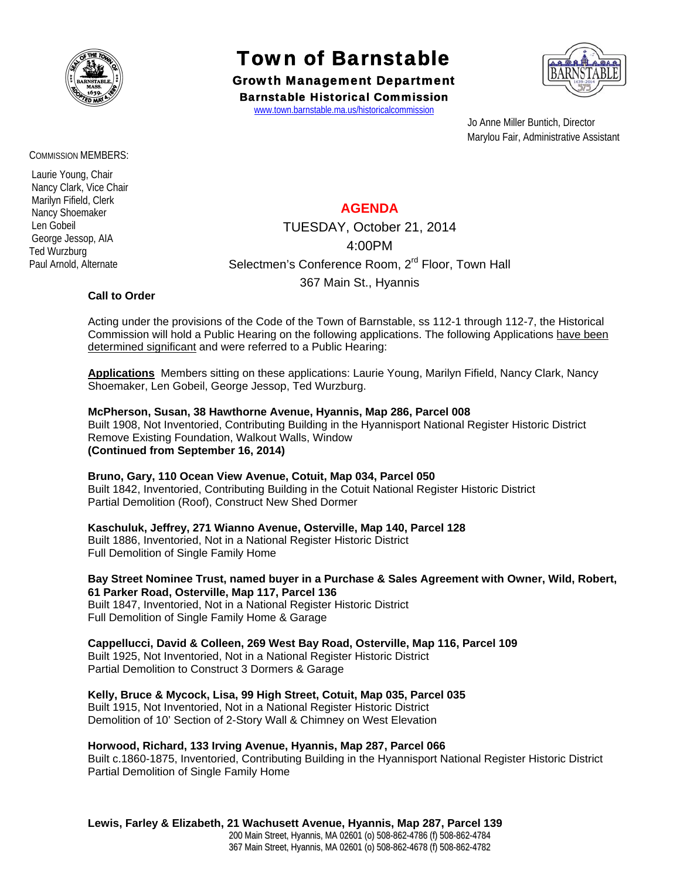

# Town of Barnstable

Growth Management Department Barnstable Historical Commission

www.town.barnstable.ma.us/historicalcommission



 Jo Anne Miller Buntich, Director Marylou Fair, Administrative Assistant

# **AGENDA**

TUESDAY, October 21, 2014 4:00PM Selectmen's Conference Room, 2<sup>rd</sup> Floor, Town Hall 367 Main St., Hyannis

### **Call to Order**

Acting under the provisions of the Code of the Town of Barnstable, ss 112-1 through 112-7, the Historical Commission will hold a Public Hearing on the following applications. The following Applications have been determined significant and were referred to a Public Hearing:

**Applications** Members sitting on these applications: Laurie Young, Marilyn Fifield, Nancy Clark, Nancy Shoemaker, Len Gobeil, George Jessop, Ted Wurzburg.

### **McPherson, Susan, 38 Hawthorne Avenue, Hyannis, Map 286, Parcel 008**

Built 1908, Not Inventoried, Contributing Building in the Hyannisport National Register Historic District Remove Existing Foundation, Walkout Walls, Window **(Continued from September 16, 2014)** 

### **Bruno, Gary, 110 Ocean View Avenue, Cotuit, Map 034, Parcel 050**

Built 1842, Inventoried, Contributing Building in the Cotuit National Register Historic District Partial Demolition (Roof), Construct New Shed Dormer

# **Kaschuluk, Jeffrey, 271 Wianno Avenue, Osterville, Map 140, Parcel 128**

Built 1886, Inventoried, Not in a National Register Historic District Full Demolition of Single Family Home

#### **Bay Street Nominee Trust, named buyer in a Purchase & Sales Agreement with Owner, Wild, Robert, 61 Parker Road, Osterville, Map 117, Parcel 136**

Built 1847, Inventoried, Not in a National Register Historic District Full Demolition of Single Family Home & Garage

# **Cappellucci, David & Colleen, 269 West Bay Road, Osterville, Map 116, Parcel 109**

Built 1925, Not Inventoried, Not in a National Register Historic District Partial Demolition to Construct 3 Dormers & Garage

## **Kelly, Bruce & Mycock, Lisa, 99 High Street, Cotuit, Map 035, Parcel 035**

Built 1915, Not Inventoried, Not in a National Register Historic District Demolition of 10' Section of 2-Story Wall & Chimney on West Elevation

### **Horwood, Richard, 133 Irving Avenue, Hyannis, Map 287, Parcel 066**

Built c.1860-1875, Inventoried, Contributing Building in the Hyannisport National Register Historic District Partial Demolition of Single Family Home

### **Lewis, Farley & Elizabeth, 21 Wachusett Avenue, Hyannis, Map 287, Parcel 139**

200 Main Street, Hyannis, MA 02601 (o) 508-862-4786 (f) 508-862-4784 367 Main Street, Hyannis, MA 02601 (o) 508-862-4678 (f) 508-862-4782

#### COMMISSION MEMBERS:

 Laurie Young, Chair Nancy Clark, Vice Chair Marilyn Fifield, Clerk Nancy Shoemaker Len Gobeil George Jessop, AIA Ted Wurzburg Paul Arnold, Alternate